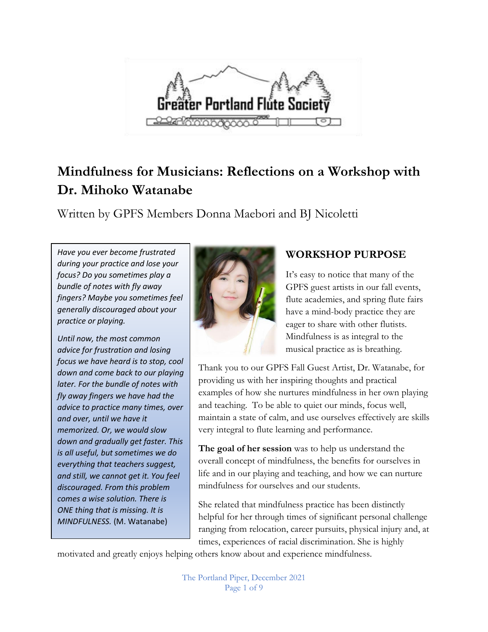

# **Mindfulness for Musicians: Reflections on a Workshop with Dr. Mihoko Watanabe**

Written by GPFS Members Donna Maebori and BJ Nicoletti

*Have you ever become frustrated during your practice and lose your focus? Do you sometimes play a bundle of notes with fly away fingers? Maybe you sometimes feel generally discouraged about your practice or playing.*

*Until now, the most common advice for frustration and losing focus we have heard is to stop, cool down and come back to our playing later. For the bundle of notes with fly away fingers we have had the advice to practice many times, over and over, until we have it memorized. Or, we would slow down and gradually get faster. This is all useful, but sometimes we do everything that teachers suggest, and still, we cannot get it. You feel discouraged. From this problem comes a wise solution. There is ONE thing that is missing. It is MINDFULNESS.* (M. Watanabe)



# **WORKSHOP PURPOSE**

It's easy to notice that many of the GPFS guest artists in our fall events, flute academies, and spring flute fairs have a mind-body practice they are eager to share with other flutists. Mindfulness is as integral to the musical practice as is breathing.

Thank you to our GPFS Fall Guest Artist, Dr. Watanabe, for providing us with her inspiring thoughts and practical examples of how she nurtures mindfulness in her own playing and teaching. To be able to quiet our minds, focus well, maintain a state of calm, and use ourselves effectively are skills very integral to flute learning and performance.

**The goal of her session** was to help us understand the overall concept of mindfulness, the benefits for ourselves in life and in our playing and teaching, and how we can nurture mindfulness for ourselves and our students.

She related that mindfulness practice has been distinctly helpful for her through times of significant personal challenge ranging from relocation, career pursuits, physical injury and, at times, experiences of racial discrimination. She is highly

motivated and greatly enjoys helping others know about and experience mindfulness.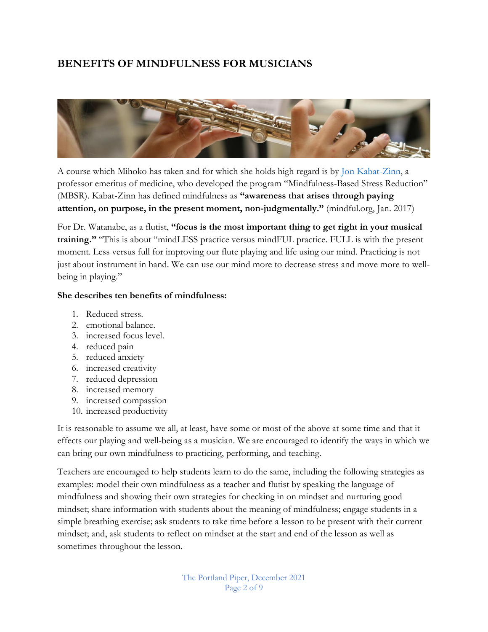## **BENEFITS OF MINDFULNESS FOR MUSICIANS**



A course which Mihoko has taken and for which she holds high regard is by [Jon Kabat-Zinn,](https://www.mindfulnesscds.com/) a professor emeritus of medicine, who developed the program "Mindfulness-Based Stress Reduction" (MBSR). Kabat-Zinn has defined mindfulness as **"awareness that arises through paying attention, on purpose, in the present moment, non-judgmentally."** (mindful.org, Jan. 2017)

For Dr. Watanabe, as a flutist, **"focus is the most important thing to get right in your musical training."** "This is about "mindLESS practice versus mindFUL practice. FULL is with the present moment. Less versus full for improving our flute playing and life using our mind. Practicing is not just about instrument in hand. We can use our mind more to decrease stress and move more to wellbeing in playing."

#### **She describes ten benefits of mindfulness:**

- 1. Reduced stress.
- 2. emotional balance.
- 3. increased focus level.
- 4. reduced pain
- 5. reduced anxiety
- 6. increased creativity
- 7. reduced depression
- 8. increased memory
- 9. increased compassion
- 10. increased productivity

It is reasonable to assume we all, at least, have some or most of the above at some time and that it effects our playing and well-being as a musician. We are encouraged to identify the ways in which we can bring our own mindfulness to practicing, performing, and teaching.

Teachers are encouraged to help students learn to do the same, including the following strategies as examples: model their own mindfulness as a teacher and flutist by speaking the language of mindfulness and showing their own strategies for checking in on mindset and nurturing good mindset; share information with students about the meaning of mindfulness; engage students in a simple breathing exercise; ask students to take time before a lesson to be present with their current mindset; and, ask students to reflect on mindset at the start and end of the lesson as well as sometimes throughout the lesson.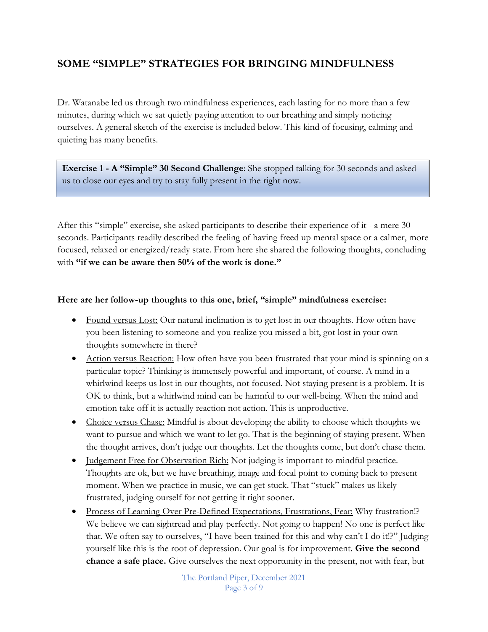### **SOME "SIMPLE" STRATEGIES FOR BRINGING MINDFULNESS**

Dr. Watanabe led us through two mindfulness experiences, each lasting for no more than a few minutes, during which we sat quietly paying attention to our breathing and simply noticing ourselves. A general sketch of the exercise is included below. This kind of focusing, calming and quieting has many benefits.

**Exercise 1 - A "Simple" 30 Second Challenge**: She stopped talking for 30 seconds and asked us to close our eyes and try to stay fully present in the right now.

After this "simple" exercise, she asked participants to describe their experience of it - a mere 30 seconds. Participants readily described the feeling of having freed up mental space or a calmer, more focused, relaxed or energized/ready state. From here she shared the following thoughts, concluding with **"if we can be aware then 50% of the work is done."**

#### **Here are her follow-up thoughts to this one, brief, "simple" mindfulness exercise:**

- Found versus Lost: Our natural inclination is to get lost in our thoughts. How often have you been listening to someone and you realize you missed a bit, got lost in your own thoughts somewhere in there?
- Action versus Reaction: How often have you been frustrated that your mind is spinning on a particular topic? Thinking is immensely powerful and important, of course. A mind in a whirlwind keeps us lost in our thoughts, not focused. Not staying present is a problem. It is OK to think, but a whirlwind mind can be harmful to our well-being. When the mind and emotion take off it is actually reaction not action. This is unproductive.
- Choice versus Chase: Mindful is about developing the ability to choose which thoughts we want to pursue and which we want to let go. That is the beginning of staying present. When the thought arrives, don't judge our thoughts. Let the thoughts come, but don't chase them.
- Judgement Free for Observation Rich: Not judging is important to mindful practice. Thoughts are ok, but we have breathing, image and focal point to coming back to present moment. When we practice in music, we can get stuck. That "stuck" makes us likely frustrated, judging ourself for not getting it right sooner.
- Process of Learning Over Pre-Defined Expectations, Frustrations, Fear: Why frustration!? We believe we can sightread and play perfectly. Not going to happen! No one is perfect like that. We often say to ourselves, "I have been trained for this and why can't I do it!?" Judging yourself like this is the root of depression. Our goal is for improvement. **Give the second chance a safe place.** Give ourselves the next opportunity in the present, not with fear, but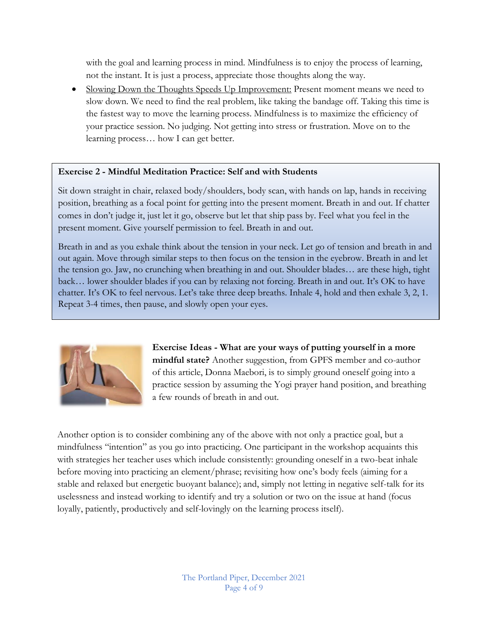with the goal and learning process in mind. Mindfulness is to enjoy the process of learning, not the instant. It is just a process, appreciate those thoughts along the way.

• Slowing Down the Thoughts Speeds Up Improvement: Present moment means we need to slow down. We need to find the real problem, like taking the bandage off. Taking this time is the fastest way to move the learning process. Mindfulness is to maximize the efficiency of your practice session. No judging. Not getting into stress or frustration. Move on to the learning process… how I can get better.

#### **Exercise 2 - Mindful Meditation Practice: Self and with Students**

Sit down straight in chair, relaxed body/shoulders, body scan, with hands on lap, hands in receiving position, breathing as a focal point for getting into the present moment. Breath in and out. If chatter comes in don't judge it, just let it go, observe but let that ship pass by. Feel what you feel in the present moment. Give yourself permission to feel. Breath in and out.

Breath in and as you exhale think about the tension in your neck. Let go of tension and breath in and out again. Move through similar steps to then focus on the tension in the eyebrow. Breath in and let the tension go. Jaw, no crunching when breathing in and out. Shoulder blades… are these high, tight back… lower shoulder blades if you can by relaxing not forcing. Breath in and out. It's OK to have chatter. It's OK to feel nervous. Let's take three deep breaths. Inhale 4, hold and then exhale 3, 2, 1. Repeat 3-4 times, then pause, and slowly open your eyes.



**Exercise Ideas - What are your ways of putting yourself in a more mindful state?** Another suggestion, from GPFS member and co-author of this article, Donna Maebori, is to simply ground oneself going into a practice session by assuming the Yogi prayer hand position, and breathing a few rounds of breath in and out.

Another option is to consider combining any of the above with not only a practice goal, but a mindfulness "intention" as you go into practicing. One participant in the workshop acquaints this with strategies her teacher uses which include consistently: grounding oneself in a two-beat inhale before moving into practicing an element/phrase; revisiting how one's body feels (aiming for a stable and relaxed but energetic buoyant balance); and, simply not letting in negative self-talk for its uselessness and instead working to identify and try a solution or two on the issue at hand (focus loyally, patiently, productively and self-lovingly on the learning process itself).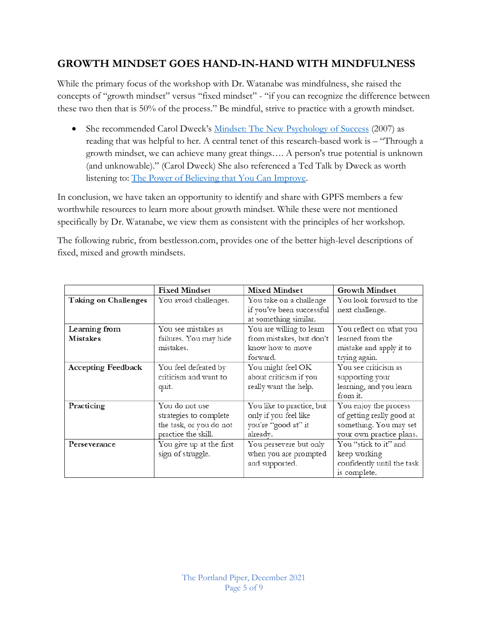## **GROWTH MINDSET GOES HAND-IN-HAND WITH MINDFULNESS**

While the primary focus of the workshop with Dr. Watanabe was mindfulness, she raised the concepts of "growth mindset" versus "fixed mindset" - "if you can recognize the difference between these two then that is 50% of the process." Be mindful, strive to practice with a growth mindset.

• She recommended Carol Dweck's [Mindset: The New Psychology of Success](https://www.amazon.com/Mindset-Psychology-Carol-S-Dweck/dp/0345472322) (2007) as reading that was helpful to her. A central tenet of this research-based work is – "Through a growth mindset, we can achieve many great things…. A person's true potential is unknown (and unknowable)." (Carol Dweck) She also referenced a Ted Talk by Dweck as worth listening to: [The Power of Believing that You Can Improve.](https://www.ted.com/talks/carol_dweck_the_power_of_believing_that_you_can_improve?utm_campaign=tedspread&utm_medium=referral&utm_source=tedcomshare)

In conclusion, we have taken an opportunity to identify and share with GPFS members a few worthwhile resources to learn more about growth mindset. While these were not mentioned specifically by Dr. Watanabe, we view them as consistent with the principles of her workshop.

The following rubric, from bestlesson.com, provides one of the better high-level descriptions of fixed, mixed and growth mindsets.

|                           | <b>Fixed Mindset</b>     | <b>Mixed Mindset</b>      | <b>Growth Mindset</b>      |
|---------------------------|--------------------------|---------------------------|----------------------------|
| Taking on Challenges      | You avoid challenges.    | You take on a challenge   | You look forward to the    |
|                           |                          | if you've been successful | next challenge.            |
|                           |                          | at something similar.     |                            |
| Learning from             | You see mistakes as      | You are willing to learn  | You reflect on what you    |
| Mistakes                  | failures. You may hide   | from mistakes, but don't  | learned from the           |
|                           | mistakes.                | know how to move          | mistake and apply it to    |
|                           |                          | forward.                  | trying again.              |
| <b>Accepting Feedback</b> | You feel defeated by     | You might feel OK         | You see criticism as       |
|                           | criticism and want to    | about criticism if you    | supporting your            |
|                           | quit.                    | really want the help.     | learning, and you learn    |
|                           |                          |                           | from it.                   |
| Practicing                | You do not use           | You like to practice, but | You enjoy the process      |
|                           | strategies to complete   | only if you feel like     | of getting really good at  |
|                           | the task, or you do not  | you're "good at" it       | something. You may set     |
|                           | practice the skill.      | already.                  | your own practice plans.   |
| Perseverance              | You give up at the first | You persevere but only    | You "stick to it" and      |
|                           | sign of struggle.        | when you are prompted     | keep working               |
|                           |                          | and supported.            | confidently until the task |
|                           |                          |                           | is complete.               |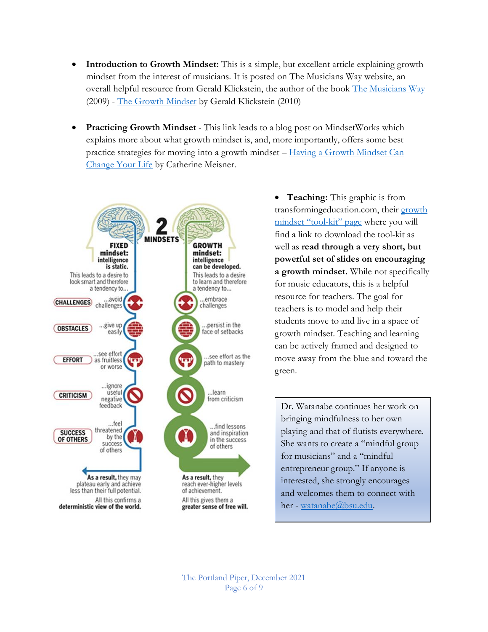- **Introduction to Growth Mindset:** This is a simple, but excellent article explaining growth mindset from the interest of musicians. It is posted on The Musicians Way website, an overall helpful resource from Gerald Klickstein, the author of the book [The Musicians Way](https://www.musiciansway.com/about/) (2009) - [The Growth Mindset](https://www.musiciansway.com/blog/2010/07/the-growth-mindset/) by Gerald Klickstein (2010)
- **Practicing Growth Mindset** This link leads to a blog post on MindsetWorks which explains more about what growth mindset is, and, more importantly, offers some best practice strategies for moving into a growth mindset – [Having a Growth Mindset Can](https://blog.mindsetworks.com/entry/how-having-a-growth-mindset-can-change-your-life)  [Change Your Life](https://blog.mindsetworks.com/entry/how-having-a-growth-mindset-can-change-your-life) by Catherine Meisner.



• **Teaching:** This graphic is from transformingeducation.com, their [growth](https://transformingeducation.org/resources/growth-mindset-toolkit/) [mindset](https://transformingeducation.org/resources/growth-mindset-toolkit/) "tool-kit" page where you will find a link to download the tool-kit as well as **read through a very short, but powerful set of slides on encouraging a growth mindset.** While not specifically for music educators, this is a helpful resource for teachers. The goal for teachers is to model and help their students move to and live in a space of growth mindset. Teaching and learning can be actively framed and designed to move away from the blue and toward the green.

Dr. Watanabe continues her work on bringing mindfulness to her own playing and that of flutists everywhere. She wants to create a "mindful group for musicians" and a "mindful entrepreneur group." If anyone is interested, she strongly encourages and welcomes them to connect with her - [watanabe@bsu.edu.](file:///C:/Users/Donna/AppData/Local/Temp/watanabe@bsu.edu)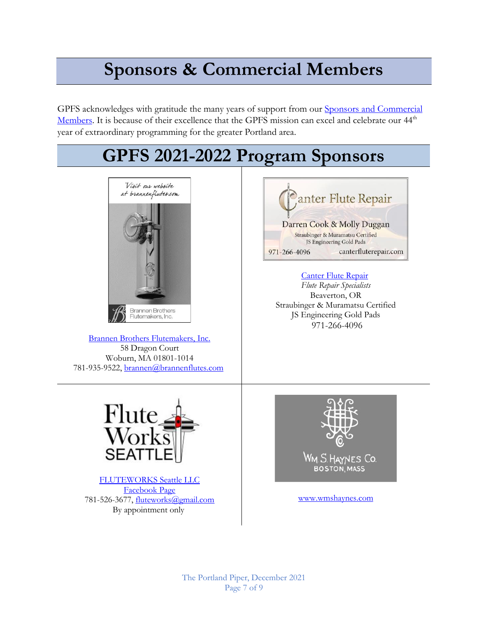# **Sponsors & Commercial Members**

GPFS acknowledges with gratitude the many years of support from our **Sponsors and Commercial** [Members.](https://gpfs.org/Commercial-Membership) It is because of their excellence that the GPFS mission can excel and celebrate our 44<sup>th</sup> year of extraordinary programming for the greater Portland area.



[FLUTEWORKS Seattle LLC](https://www.fwseattle.com/) [Facebook Page](https://www.facebook.com/fluteworksseattle/?ref=page_internal) 781-526-3677, [fluteworks@gmail.com](mailto:fluteworks@gmail.com) By appointment only

<www.wmshaynes.com>

The Portland Piper, December 2021 Page 7 of 9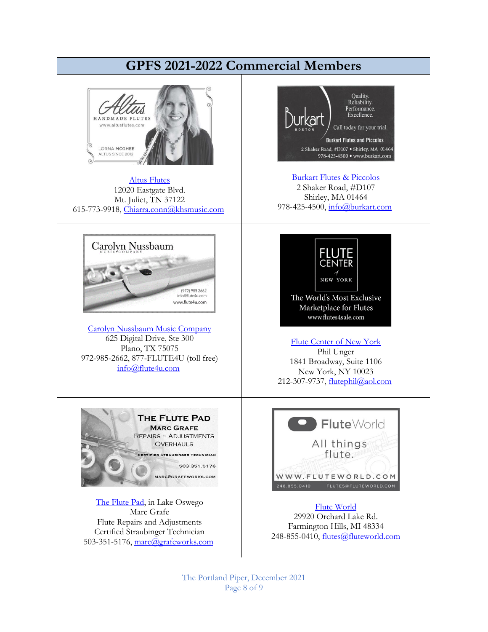# **GPFS 2021-2022 Commercial Members**



[Altus Flutes](http://www.altusflutes.com/) 12020 Eastgate Blvd. Mt. Juliet, TN 37122 615-773-9918, [Chiarra.conn@khsmusic.com](mailto:Chiarra.conn@khsmusic.com)



[Carolyn Nussbaum Music Company](http://www.flute4u.com/) 625 Digital Drive, Ste 300 Plano, TX 75075 972-985-2662, 877-FLUTE4U (toll free) [info@flute4u.com](mailto:info@flute4u.com)



[The Flute Pad,](https://gpfs.org/images/Marc_Grafe.pdf) in Lake Oswego Marc Grafe Flute Repairs and Adjustments Certified Straubinger Technician 503-351-5176, [marc@grafeworks.com](mailto:marc@grafeworks.com)



[Burkart Flutes & Piccolos](http://www.burkart.com/) 2 Shaker Road, #D107 Shirley, MA 01464 978-425-4500, [info@burkart.com](mailto:info@burkart.com)



[Flute Center of New York](http://www.flutes4sale.com/) Phil Unger 1841 Broadway, Suite 1106 New York, NY 10023 212-307-9737, [flutephil@aol.com](mailto:flutephil@aol.com)



[Flute World](http://www.fluteworld.com/) 29920 Orchard Lake Rd. Farmington Hills, MI 48334 248-855-0410, [flutes@fluteworld.com](mailto:flutes@fluteworld.com)

The Portland Piper, December 2021 Page 8 of 9